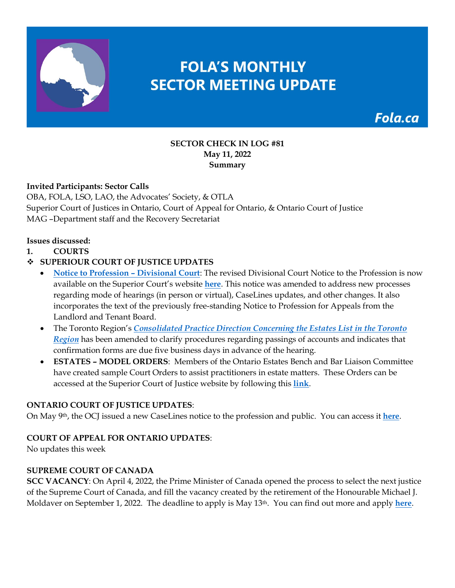

# **FOLA'S MONTHLY SECTOR MEETING UPDATE**

Fola.ca

#### **SECTOR CHECK IN LOG #81 May 11, 2022 Summary**

## **Invited Participants: Sector Calls**

OBA, FOLA, LSO, LAO, the Advocates' Society, & OTLA Superior Court of Justices in Ontario, Court of Appeal for Ontario, & Ontario Court of Justice MAG –Department staff and the Recovery Secretariat

#### **Issues discussed:**

**1. COURTS**

## **SUPERIOUR COURT OF JUSTICE UPDATES**

- **[Notice to Profession Divisional Court](https://www.ontariocourts.ca/scj/notices-and-orders-covid-19/div-ct-feb2021/)**: The revised Divisional Court Notice to the Profession is now available on the Superior Court's website **[here](https://www.ontariocourts.ca/scj/notices-and-orders-covid-19/div-ct-feb2021/)**. This notice was amended to address new processes regarding mode of hearings (in person or virtual), CaseLines updates, and other changes. It also incorporates the text of the previously free-standing Notice to Profession for Appeals from the Landlord and Tenant Board.
- The Toronto Region's *[Consolidated Practice Direction Concerning the Estates List in the Toronto](https://nam12.safelinks.protection.outlook.com/?url=https%3A%2F%2Fwww.ontariocourts.ca%2Fscj%2Fpractice%2Fpractice-directions%2Ftoronto%2Festates%2F&data=05%7C01%7C%7C1aefb41c14cb47542c9508da2307d732%7C84df9e7fe9f640afb435aaaaaaaaaaaa%7C1%7C0%7C637860813865699730%7CUnknown%7CTWFpbGZsb3d8eyJWIjoiMC4wLjAwMDAiLCJQIjoiV2luMzIiLCJBTiI6Ik1haWwiLCJXVCI6Mn0%3D%7C3000%7C%7C%7C&sdata=tPQI%2BlmGp1J9PDGG7rUWqZmU2N6M16mzNatx4OQflG8%3D&reserved=0)  [Region](https://nam12.safelinks.protection.outlook.com/?url=https%3A%2F%2Fwww.ontariocourts.ca%2Fscj%2Fpractice%2Fpractice-directions%2Ftoronto%2Festates%2F&data=05%7C01%7C%7C1aefb41c14cb47542c9508da2307d732%7C84df9e7fe9f640afb435aaaaaaaaaaaa%7C1%7C0%7C637860813865699730%7CUnknown%7CTWFpbGZsb3d8eyJWIjoiMC4wLjAwMDAiLCJQIjoiV2luMzIiLCJBTiI6Ik1haWwiLCJXVCI6Mn0%3D%7C3000%7C%7C%7C&sdata=tPQI%2BlmGp1J9PDGG7rUWqZmU2N6M16mzNatx4OQflG8%3D&reserved=0)* has been amended to clarify procedures regarding passings of accounts and indicates that confirmation forms are due five business days in advance of the hearing.
- **ESTATES MODEL ORDERS**: Members of the Ontario Estates Bench and Bar Liaison Committee have created sample Court Orders to assist practitioners in estate matters. These Orders can be accessed at the Superior Court of Justice website by following this **[link](https://www.ontariocourts.ca/scj/practice/practice-directions/toronto/#Estates_List_Forms)**.

#### **ONTARIO COURT OF JUSTICE UPDATES**:

On May 9th, the OCJ issued a new CaseLines notice to the profession and public. You can access it **[here](https://www.ontariocourts.ca/ocj/caselines/caselines-for-domestic-family-matters/)**.

#### **COURT OF APPEAL FOR ONTARIO UPDATES**:

No updates this week

#### **SUPREME COURT OF CANADA**

**SCC VACANCY**: On April 4, 2022, the Prime Minister of Canada opened the process to select the next justice of the Supreme Court of Canada, and fill the vacancy created by the retirement of the Honourable Michael J. Moldaver on September 1, 2022. The deadline to apply is May 13th. You can find out more and apply **[here](https://fola.ca/jobs)**.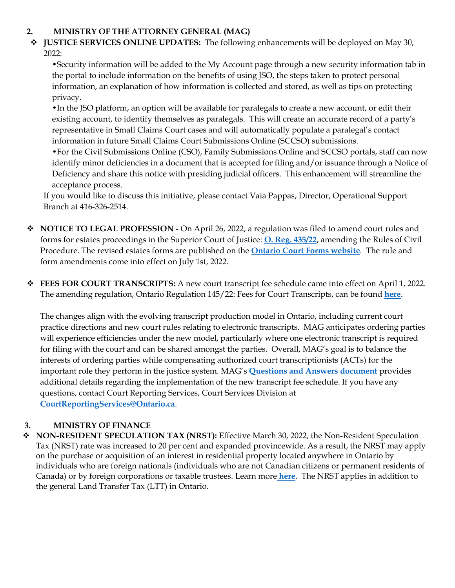### **2. MINISTRY OF THE ATTORNEY GENERAL (MAG)**

 **JUSTICE SERVICES ONLINE UPDATES:** The following enhancements will be deployed on May 30, 2022:

•Security information will be added to the My Account page through a new security information tab in the portal to include information on the benefits of using JSO, the steps taken to protect personal information, an explanation of how information is collected and stored, as well as tips on protecting privacy.

•In the JSO platform, an option will be available for paralegals to create a new account, or edit their existing account, to identify themselves as paralegals. This will create an accurate record of a party's representative in Small Claims Court cases and will automatically populate a paralegal's contact information in future Small Claims Court Submissions Online (SCCSO) submissions.

•For the Civil Submissions Online (CSO), Family Submissions Online and SCCSO portals, staff can now identify minor deficiencies in a document that is accepted for filing and/or issuance through a Notice of Deficiency and share this notice with presiding judicial officers. This enhancement will streamline the acceptance process.

If you would like to discuss this initiative, please contact Vaia Pappas, Director, Operational Support Branch at 416-326-2514.

- **↑ NOTICE TO LEGAL PROFESSION** On April 26, 2022, a regulation was filed to amend court rules and forms for estates proceedings in the Superior Court of Justice: **[O. Reg. 435/22](https://www.ontario.ca/laws/regulation/r22435?search=435%2F22)**, amending the Rules of Civil Procedure. The revised estates forms are published on the **[Ontario Court Forms website](http://ontariocourtforms.on.ca/en/rules-of-civil-procedure-forms/pre-formatted-fillable-estates-forms/)**. The rule and form amendments come into effect on July 1st, 2022.
- **FEES FOR COURT TRANSCRIPTS:** A new court transcript fee schedule came into effect on April 1, 2022. The amending regulation, Ontario Regulation 145/22: Fees for Court Transcripts, can be found **[here](https://www.ontario.ca/laws/regulation/r22145)**.

The changes align with the evolving transcript production model in Ontario, including current court practice directions and new court rules relating to electronic transcripts. MAG anticipates ordering parties will experience efficiencies under the new model, particularly where one electronic transcript is required for filing with the court and can be shared amongst the parties. Overall, MAG's goal is to balance the interests of ordering parties while compensating authorized court transcriptionists (ACTs) for the important role they perform in the justice system. MAG's **[Questions and Answers](https://img1.wsimg.com/blobby/go/63f6349d-d85d-4511-bc5f-4314d54b45d0/downloads/Question%20Answer%20Document%2004MAR2022.pdf?ver=1646430238120) document** provides additional details regarding the implementation of the new transcript fee schedule. If you have any questions, contact Court Reporting Services, Court Services Division at **[CourtReportingServices@Ontario.ca](mailto:CourtReportingServices@Ontario.ca)**.

# **3. MINISTRY OF FINANCE**

 **NON-RESIDENT SPECULATION TAX (NRST):** Effective March 30, 2022, the Non-Resident Speculation Tax (NRST) rate was increased to 20 per cent and expanded provincewide. As a result, the NRST may apply on the purchase or acquisition of an interest in residential property located anywhere in Ontario by individuals who are foreign nationals (individuals who are not Canadian citizens or permanent residents of Canada) or by foreign corporations or taxable trustees. Learn more **[here](https://www.fin.gov.on.ca/en/bulletins/nrst/index.html)**. The NRST applies in addition to the general Land Transfer Tax (LTT) in Ontario.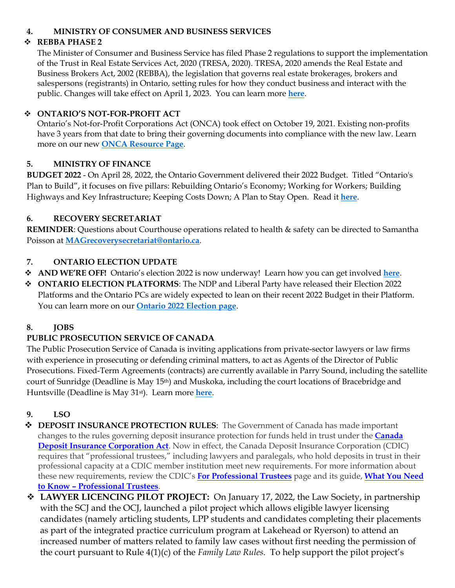## **4. MINISTRY OF CONSUMER AND BUSINESS SERVICES**

## **REBBA PHASE 2**

The Minister of Consumer and Business Service has filed Phase 2 regulations to support the implementation of the Trust in Real Estate Services Act, 2020 (TRESA, 2020). TRESA, 2020 amends the Real Estate and Business Brokers Act, 2002 (REBBA), the legislation that governs real estate brokerages, brokers and salespersons (registrants) in Ontario, setting rules for how they conduct business and interact with the public. Changes will take effect on April 1, 2023. You can learn more **[here](https://fola.ca/real-estate-law)**.

#### **ONTARIO'S NOT-FOR-PROFIT ACT**

Ontario's Not-for-Profit Corporations Act (ONCA) took effect on October 19, 2021. Existing non-profits have 3 years from that date to bring their governing documents into compliance with the new law. Learn more on our new **[ONCA Resource Page](https://fola.ca/onca)**.

#### **5. MINISTRY OF FINANCE**

**BUDGET 2022** - On April 28, 2022, the Ontario Government delivered their 2022 Budget. Titled "Ontario's Plan to Build", it focuses on five pillars: Rebuilding Ontario's Economy; Working for Workers; Building Highways and Key Infrastructure; Keeping Costs Down; A Plan to Stay Open. Read it **[here](https://fola.ca/ministry-of-finance-on)**.

#### **6. RECOVERY SECRETARIAT**

**REMINDER**: Questions about Courthouse operations related to health & safety can be directed to Samantha Poisson at **[MAGrecoverysecretariat@ontario.ca](mailto:MAGrecoverysecretariat@ontario.ca)**.

#### **7. ONTARIO ELECTION UPDATE**

- **AND WE'RE OFF!** Ontario's election 2022 is now underway! Learn how you can get involved **[here](https://fola.ca/ontario-election-2022)**.
- **ONTARIO ELECTION PLATFORMS**: The NDP and Liberal Party have released their Election 2022 Platforms and the Ontario PCs are widely expected to lean on their recent 2022 Budget in their Platform. You can learn more on our **[Ontario 2022 Election page](https://fola.ca/ontario-election-2022#a50839c7-72b7-43a2-b5df-cdc78c88b06f)**.

#### **8. JOBS**

## **PUBLIC PROSECUTION SERVICE OF CANADA**

The Public Prosecution Service of Canada is inviting applications from private-sector lawyers or law firms with experience in prosecuting or defending criminal matters, to act as Agents of the Director of Public Prosecutions. Fixed-Term Agreements (contracts) are currently available in Parry Sound, including the satellite court of Sunridge (Deadline is May 15th) and Muskoka, including the court locations of Bracebridge and Huntsville (Deadline is May 31st). Learn more **[here](https://fola.ca/jobs)**.

## **9. LSO**

- **◆ DEPOSIT INSURANCE PROTECTION RULES:** The Government of Canada has made important changes to the rules governing deposit insurance protection for funds held in trust under the **[Canada](https://trk.cp20.com/click/cet0-2ir8no-xmmsb7-a98l2oy7/)  [Deposit Insurance Corporation Act](https://trk.cp20.com/click/cet0-2ir8no-xmmsb7-a98l2oy7/)**. Now in effect, the Canada Deposit Insurance Corporation (CDIC) requires that "professional trustees," including lawyers and paralegals, who hold deposits in trust in their professional capacity at a CDIC member institution meet new requirements. For more information about these new requirements, review the CDIC's **[For Professional Trustees](https://trk.cp20.com/click/cet0-2ir8no-xmmsb8-a98l2oy8/)** page and its guide, **[What You Need](https://trk.cp20.com/click/cet0-2ir8no-xmmsb9-a98l2oy9/)  [to Know – Professional Trustees](https://trk.cp20.com/click/cet0-2ir8no-xmmsb9-a98l2oy9/)**.
- **LAWYER LICENCING PILOT PROJECT:** On January 17, 2022, the Law Society, in partnership with the SCJ and the OCJ, launched a pilot project which allows eligible lawyer licensing candidates (namely articling students, LPP students and candidates completing their placements as part of the integrated practice curriculum program at Lakehead or Ryerson) to attend an increased number of matters related to family law cases without first needing the permission of the court pursuant to Rule 4(1)(c) of the *Family Law Rules*. To help support the pilot project's